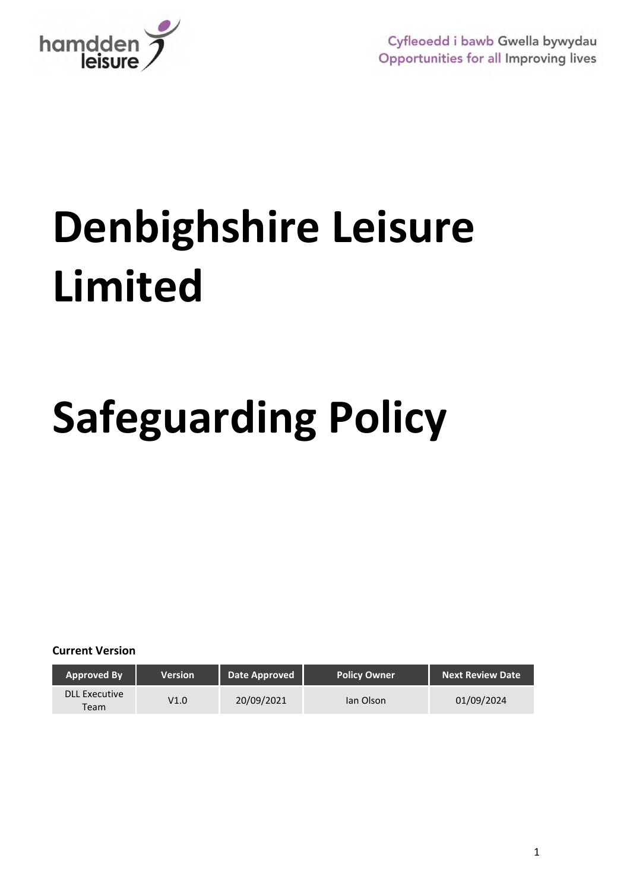

# **Denbighshire Leisure Limited**

## **Safeguarding Policy**

**Current Version**

| <b>Approved By</b>           | Version | Date Approved | <b>Policy Owner</b> | <b>Next Review Date</b> |
|------------------------------|---------|---------------|---------------------|-------------------------|
| <b>DLL Executive</b><br>Team | V1.0    | 20/09/2021    | lan Olson           | 01/09/2024              |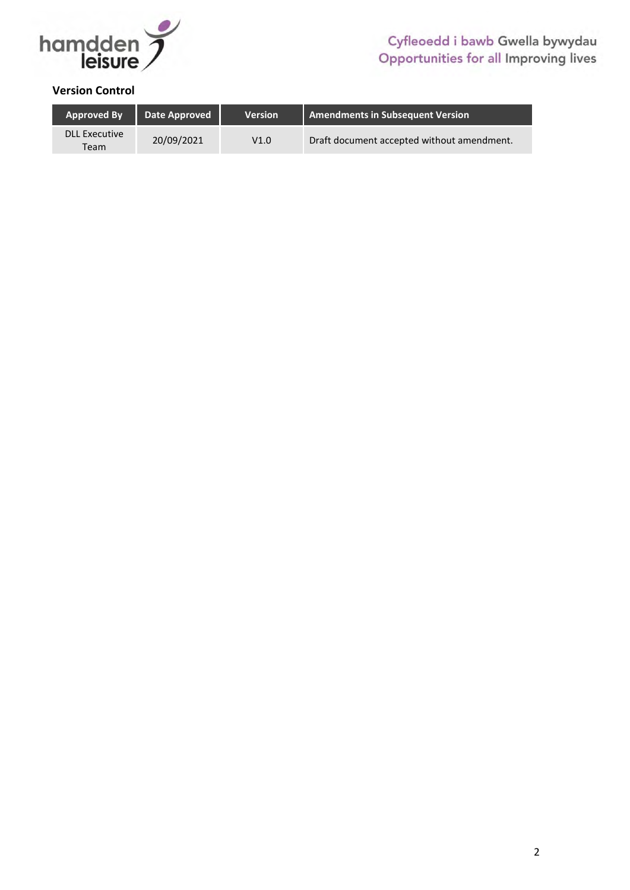

#### **Version Control**

| <b>Approved By</b>           | Date Approved | <b>Version</b> | Amendments in Subsequent Version           |
|------------------------------|---------------|----------------|--------------------------------------------|
| <b>DLL Executive</b><br>Team | 20/09/2021    | V1.0           | Draft document accepted without amendment. |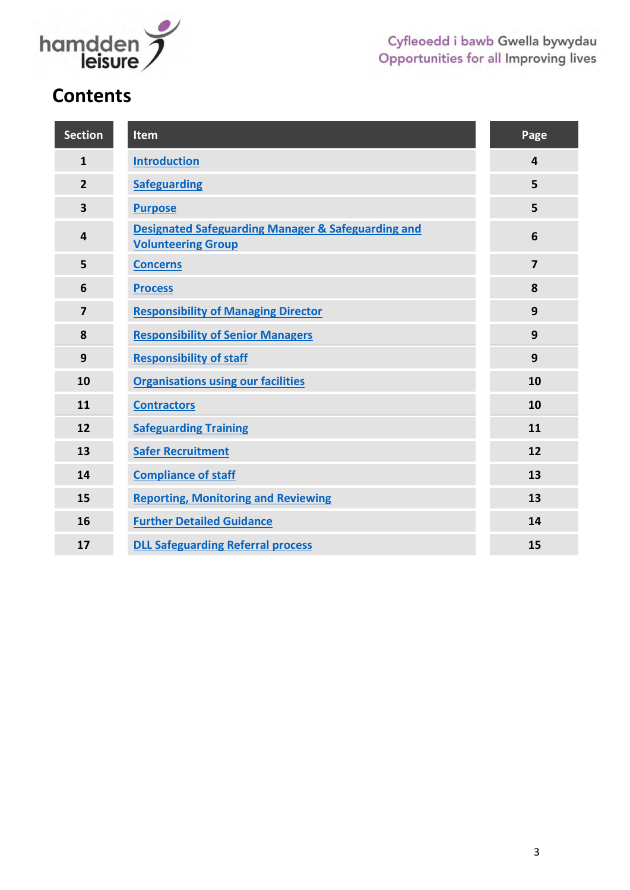

## **Contents**

| <b>Section</b>          | <b>Item</b>                                                                                | Page           |
|-------------------------|--------------------------------------------------------------------------------------------|----------------|
| $\mathbf{1}$            | <b>Introduction</b>                                                                        | 4              |
| $\overline{2}$          | <b>Safeguarding</b>                                                                        | 5              |
| $\overline{\mathbf{3}}$ | <b>Purpose</b>                                                                             | 5              |
| 4                       | <b>Designated Safeguarding Manager &amp; Safeguarding and</b><br><b>Volunteering Group</b> | 6              |
| 5                       | <b>Concerns</b>                                                                            | $\overline{7}$ |
| 6                       | <b>Process</b>                                                                             | 8              |
| $\overline{7}$          | <b>Responsibility of Managing Director</b>                                                 | 9              |
| 8                       | <b>Responsibility of Senior Managers</b>                                                   | 9              |
| 9                       | <b>Responsibility of staff</b>                                                             | 9              |
| 10                      | <b>Organisations using our facilities</b>                                                  | 10             |
| 11                      | <b>Contractors</b>                                                                         | 10             |
| 12                      | <b>Safeguarding Training</b>                                                               | 11             |
| 13                      | <b>Safer Recruitment</b>                                                                   | 12             |
| 14                      | <b>Compliance of staff</b>                                                                 | 13             |
| 15                      | <b>Reporting, Monitoring and Reviewing</b>                                                 | 13             |
| 16                      | <b>Further Detailed Guidance</b>                                                           | 14             |
| 17                      | <b>DLL Safeguarding Referral process</b>                                                   | 15             |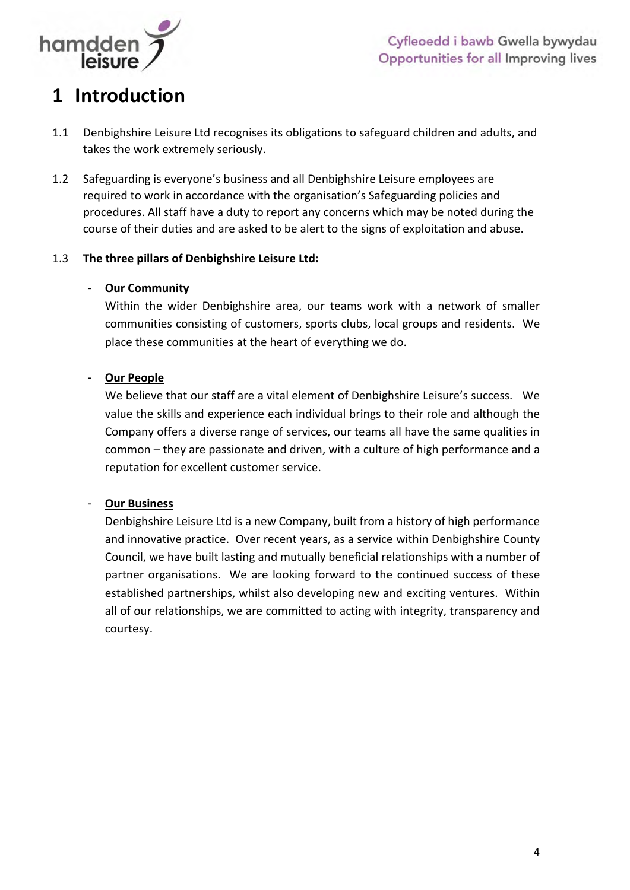

## <span id="page-3-0"></span>**1 Introduction**

- 1.1 Denbighshire Leisure Ltd recognises its obligations to safeguard children and adults, and takes the work extremely seriously.
- 1.2 Safeguarding is everyone's business and all Denbighshire Leisure employees are required to work in accordance with the organisation's Safeguarding policies and procedures. All staff have a duty to report any concerns which may be noted during the course of their duties and are asked to be alert to the signs of exploitation and abuse.

#### 1.3 **The three pillars of Denbighshire Leisure Ltd:**

#### - **Our Community**

Within the wider Denbighshire area, our teams work with a network of smaller communities consisting of customers, sports clubs, local groups and residents. We place these communities at the heart of everything we do.

#### - **Our People**

We believe that our staff are a vital element of Denbighshire Leisure's success. We value the skills and experience each individual brings to their role and although the Company offers a diverse range of services, our teams all have the same qualities in common – they are passionate and driven, with a culture of high performance and a reputation for excellent customer service.

#### - **Our Business**

<span id="page-3-1"></span>Denbighshire Leisure Ltd is a new Company, built from a history of high performance and innovative practice. Over recent years, as a service within Denbighshire County Council, we have built lasting and mutually beneficial relationships with a number of partner organisations. We are looking forward to the continued success of these established partnerships, whilst also developing new and exciting ventures. Within all of our relationships, we are committed to acting with integrity, transparency and courtesy.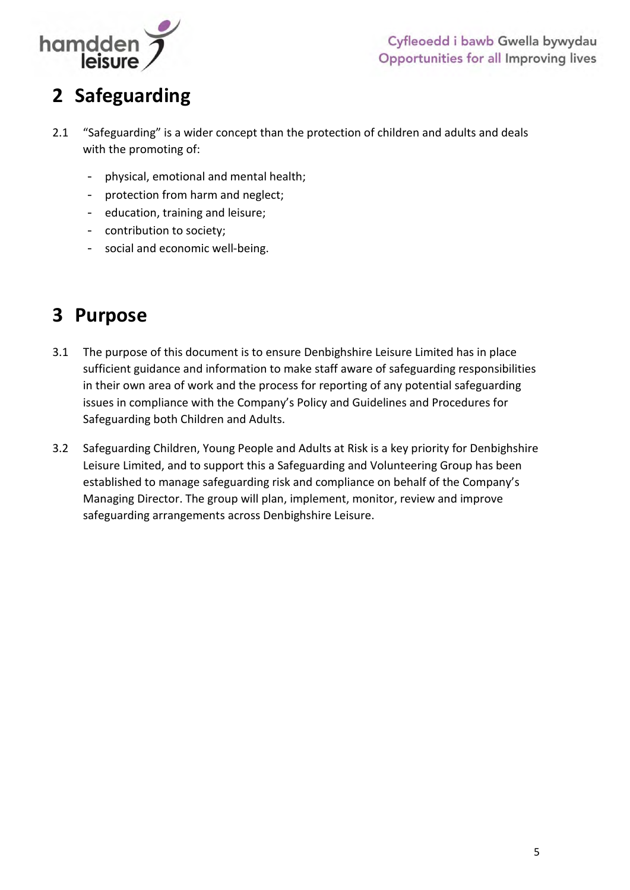

## **2 Safeguarding**

- 2.1 "Safeguarding" is a wider concept than the protection of children and adults and deals with the promoting of:
	- physical, emotional and mental health;
	- protection from harm and neglect;
	- education, training and leisure;
	- contribution to society;
	- social and economic well-being.

## <span id="page-4-0"></span>**3 Purpose**

- 3.1 The purpose of this document is to ensure Denbighshire Leisure Limited has in place sufficient guidance and information to make staff aware of safeguarding responsibilities in their own area of work and the process for reporting of any potential safeguarding issues in compliance with the Company's Policy and Guidelines and Procedures for Safeguarding both Children and Adults.
- <span id="page-4-1"></span>3.2 Safeguarding Children, Young People and Adults at Risk is a key priority for Denbighshire Leisure Limited, and to support this a Safeguarding and Volunteering Group has been established to manage safeguarding risk and compliance on behalf of the Company's Managing Director. The group will plan, implement, monitor, review and improve safeguarding arrangements across Denbighshire Leisure.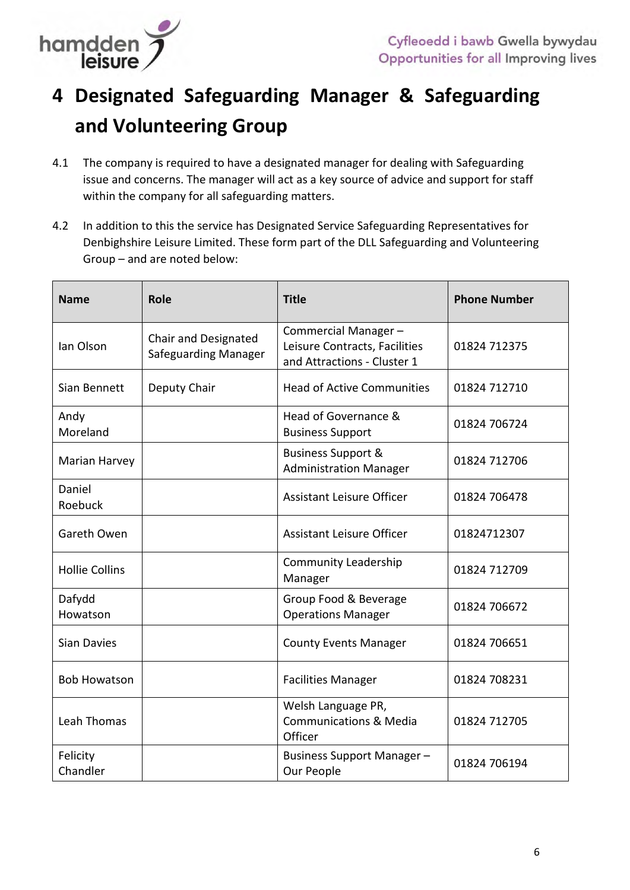

## **4 Designated Safeguarding Manager & Safeguarding and Volunteering Group**

- 4.1 The company is required to have a designated manager for dealing with Safeguarding issue and concerns. The manager will act as a key source of advice and support for staff within the company for all safeguarding matters.
- 4.2 In addition to this the service has Designated Service Safeguarding Representatives for Denbighshire Leisure Limited. These form part of the DLL Safeguarding and Volunteering Group – and are noted below:

| <b>Name</b>           | Role                                         | <b>Title</b>                                                                        | <b>Phone Number</b> |
|-----------------------|----------------------------------------------|-------------------------------------------------------------------------------------|---------------------|
| Ian Olson             | Chair and Designated<br>Safeguarding Manager | Commercial Manager-<br>Leisure Contracts, Facilities<br>and Attractions - Cluster 1 | 01824 712375        |
| Sian Bennett          | Deputy Chair                                 | <b>Head of Active Communities</b>                                                   | 01824 712710        |
| Andy<br>Moreland      |                                              | Head of Governance &<br><b>Business Support</b>                                     | 01824 706724        |
| Marian Harvey         |                                              | <b>Business Support &amp;</b><br><b>Administration Manager</b>                      | 01824 712706        |
| Daniel<br>Roebuck     |                                              | <b>Assistant Leisure Officer</b>                                                    | 01824 706478        |
| Gareth Owen           |                                              | <b>Assistant Leisure Officer</b>                                                    | 01824712307         |
| <b>Hollie Collins</b> |                                              | <b>Community Leadership</b><br>Manager                                              | 01824 712709        |
| Dafydd<br>Howatson    |                                              | Group Food & Beverage<br><b>Operations Manager</b>                                  | 01824 706672        |
| <b>Sian Davies</b>    |                                              | <b>County Events Manager</b>                                                        | 01824 706651        |
| <b>Bob Howatson</b>   |                                              | <b>Facilities Manager</b>                                                           | 01824 708231        |
| <b>Leah Thomas</b>    |                                              | Welsh Language PR,<br><b>Communications &amp; Media</b><br>Officer                  | 01824 712705        |
| Felicity<br>Chandler  |                                              | Business Support Manager -<br>Our People                                            | 01824 706194        |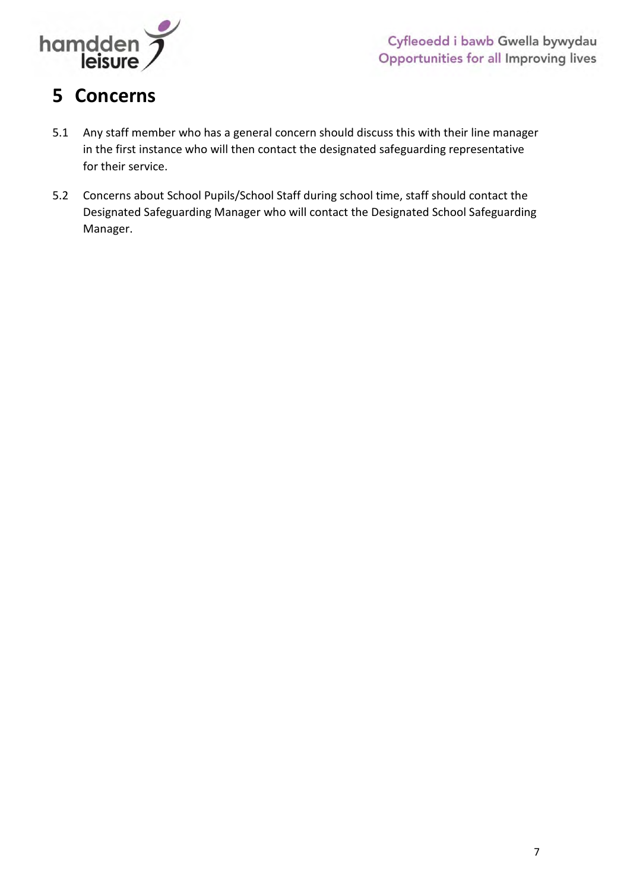

## <span id="page-6-0"></span>**5 Concerns**

- 5.1 Any staff member who has a general concern should discuss this with their line manager in the first instance who will then contact the designated safeguarding representative for their service.
- 5.2 Concerns about School Pupils/School Staff during school time, staff should contact the Designated Safeguarding Manager who will contact the Designated School Safeguarding Manager.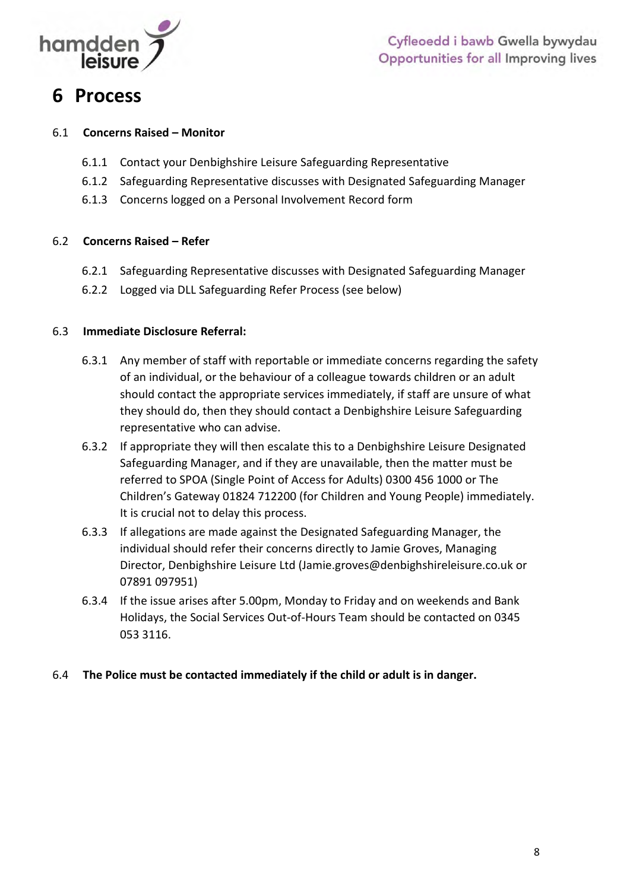

### **6 Process**

#### 6.1 **Concerns Raised – Monitor**

- 6.1.1 Contact your Denbighshire Leisure Safeguarding Representative
- 6.1.2 Safeguarding Representative discusses with Designated Safeguarding Manager
- 6.1.3 Concerns logged on a Personal Involvement Record form

#### 6.2 **Concerns Raised – Refer**

- 6.2.1 Safeguarding Representative discusses with Designated Safeguarding Manager
- 6.2.2 Logged via DLL Safeguarding Refer Process (see below)

#### 6.3 **Immediate Disclosure Referral:**

- 6.3.1 Any member of staff with reportable or immediate concerns regarding the safety of an individual, or the behaviour of a colleague towards children or an adult should contact the appropriate services immediately, if staff are unsure of what they should do, then they should contact a Denbighshire Leisure Safeguarding representative who can advise.
- 6.3.2 If appropriate they will then escalate this to a Denbighshire Leisure Designated Safeguarding Manager, and if they are unavailable, then the matter must be referred to SPOA (Single Point of Access for Adults) 0300 456 1000 or The Children's Gateway 01824 712200 (for Children and Young People) immediately. It is crucial not to delay this process.
- 6.3.3 If allegations are made against the Designated Safeguarding Manager, the individual should refer their concerns directly to Jamie Groves, Managing Director, Denbighshire Leisure Ltd [\(Jamie.groves@denbighshireleisure.co.uk](mailto:Jamie.groves@denbighshireleisure.co.uk) or 07891 097951)
- 6.3.4 If the issue arises after 5.00pm, Monday to Friday and on weekends and Bank Holidays, the Social Services Out-of-Hours Team should be contacted on 0345 053 3116.

#### <span id="page-7-0"></span>6.4 **The Police must be contacted immediately if the child or adult is in danger.**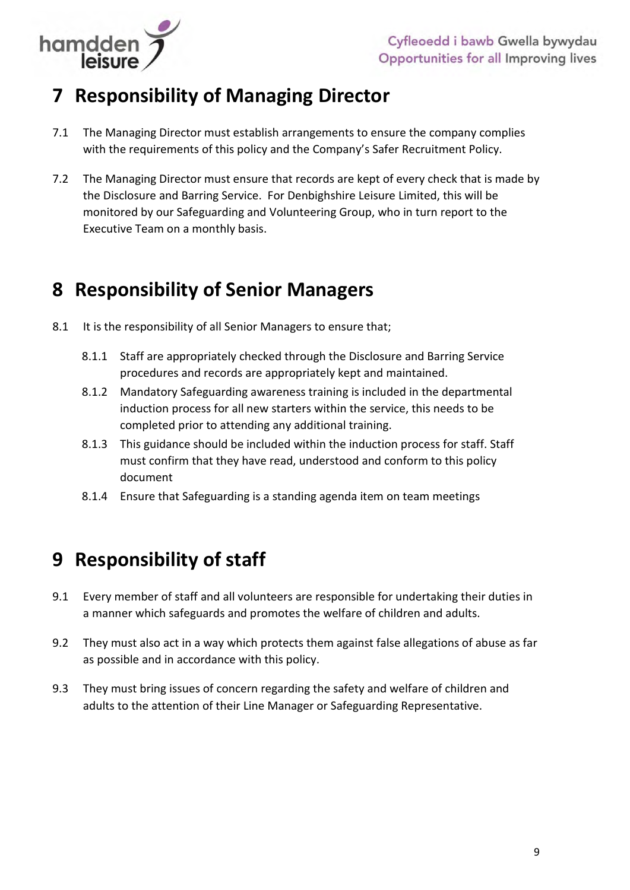

## **7 Responsibility of Managing Director**

- 7.1 The Managing Director must establish arrangements to ensure the company complies with the requirements of this policy and the Company's Safer Recruitment Policy.
- 7.2 The Managing Director must ensure that records are kept of every check that is made by the Disclosure and Barring Service. For Denbighshire Leisure Limited, this will be monitored by our Safeguarding and Volunteering Group, who in turn report to the Executive Team on a monthly basis.

## <span id="page-8-0"></span>**8 Responsibility of Senior Managers**

- 8.1 It is the responsibility of all Senior Managers to ensure that;
	- 8.1.1 Staff are appropriately checked through the Disclosure and Barring Service procedures and records are appropriately kept and maintained.
	- 8.1.2 Mandatory Safeguarding awareness training is included in the departmental induction process for all new starters within the service, this needs to be completed prior to attending any additional training.
	- 8.1.3 This guidance should be included within the induction process for staff. Staff must confirm that they have read, understood and conform to this policy document
	- 8.1.4 Ensure that Safeguarding is a standing agenda item on team meetings

## <span id="page-8-1"></span>**9 Responsibility of staff**

- 9.1 Every member of staff and all volunteers are responsible for undertaking their duties in a manner which safeguards and promotes the welfare of children and adults.
- 9.2 They must also act in a way which protects them against false allegations of abuse as far as possible and in accordance with this policy.
- 9.3 They must bring issues of concern regarding the safety and welfare of children and adults to the attention of their Line Manager or Safeguarding Representative.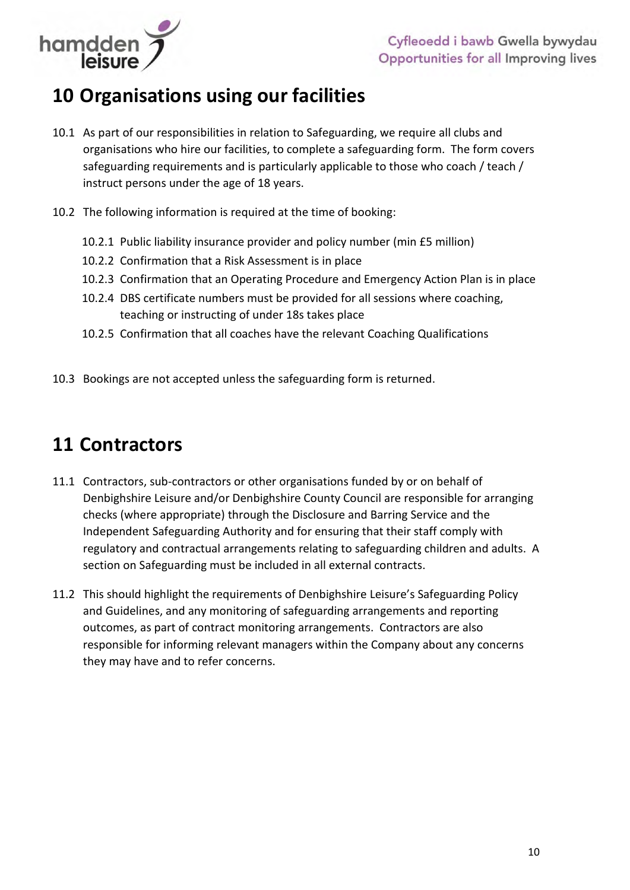

## <span id="page-9-0"></span>**10 Organisations using our facilities**

- 10.1 As part of our responsibilities in relation to Safeguarding, we require all clubs and organisations who hire our facilities, to complete a safeguarding form. The form covers safeguarding requirements and is particularly applicable to those who coach / teach / instruct persons under the age of 18 years.
- 10.2 The following information is required at the time of booking:
	- 10.2.1 Public liability insurance provider and policy number (min £5 million)
	- 10.2.2 Confirmation that a Risk Assessment is in place
	- 10.2.3 Confirmation that an Operating Procedure and Emergency Action Plan is in place
	- 10.2.4 DBS certificate numbers must be provided for all sessions where coaching, teaching or instructing of under 18s takes place
	- 10.2.5 Confirmation that all coaches have the relevant Coaching Qualifications
- 10.3 Bookings are not accepted unless the safeguarding form is returned.

## <span id="page-9-1"></span>**11 Contractors**

- 11.1 Contractors, sub-contractors or other organisations funded by or on behalf of Denbighshire Leisure and/or Denbighshire County Council are responsible for arranging checks (where appropriate) through the Disclosure and Barring Service and the Independent Safeguarding Authority and for ensuring that their staff comply with regulatory and contractual arrangements relating to safeguarding children and adults. A section on Safeguarding must be included in all external contracts.
- 11.2 This should highlight the requirements of Denbighshire Leisure's Safeguarding Policy and Guidelines, and any monitoring of safeguarding arrangements and reporting outcomes, as part of contract monitoring arrangements. Contractors are also responsible for informing relevant managers within the Company about any concerns they may have and to refer concerns.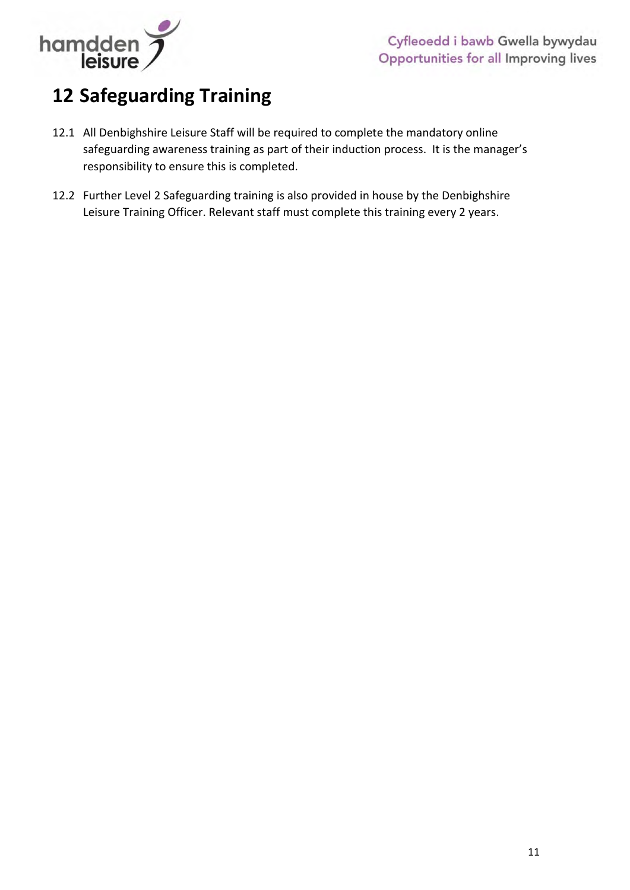

## <span id="page-10-0"></span>**12 Safeguarding Training**

- 12.1 All Denbighshire Leisure Staff will be required to complete the mandatory online safeguarding awareness training as part of their induction process. It is the manager's responsibility to ensure this is completed.
- 12.2 Further Level 2 Safeguarding training is also provided in house by the Denbighshire Leisure Training Officer. Relevant staff must complete this training every 2 years.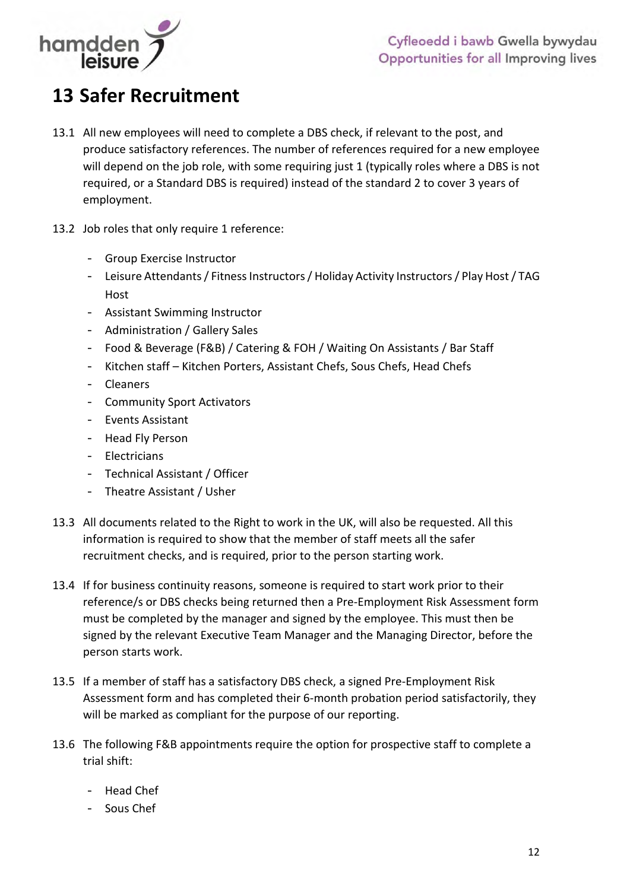

## <span id="page-11-0"></span>**13 Safer Recruitment**

- 13.1 All new employees will need to complete a DBS check, if relevant to the post, and produce satisfactory references. The number of references required for a new employee will depend on the job role, with some requiring just 1 (typically roles where a DBS is not required, or a Standard DBS is required) instead of the standard 2 to cover 3 years of employment.
- 13.2 Job roles that only require 1 reference:
	- Group Exercise Instructor
	- Leisure Attendants / Fitness Instructors / Holiday Activity Instructors / Play Host / TAG Host
	- Assistant Swimming Instructor
	- Administration / Gallery Sales
	- Food & Beverage (F&B) / Catering & FOH / Waiting On Assistants / Bar Staff
	- Kitchen staff Kitchen Porters, Assistant Chefs, Sous Chefs, Head Chefs
	- Cleaners
	- Community Sport Activators
	- Events Assistant
	- Head Fly Person
	- Electricians
	- Technical Assistant / Officer
	- Theatre Assistant / Usher
- 13.3 All documents related to the Right to work in the UK, will also be requested. All this information is required to show that the member of staff meets all the safer recruitment checks, and is required, prior to the person starting work.
- 13.4 If for business continuity reasons, someone is required to start work prior to their reference/s or DBS checks being returned then a Pre-Employment Risk Assessment form must be completed by the manager and signed by the employee. This must then be signed by the relevant Executive Team Manager and the Managing Director, before the person starts work.
- 13.5 If a member of staff has a satisfactory DBS check, a signed Pre-Employment Risk Assessment form and has completed their 6-month probation period satisfactorily, they will be marked as compliant for the purpose of our reporting.
- 13.6 The following F&B appointments require the option for prospective staff to complete a trial shift:
	- Head Chef
	- Sous Chef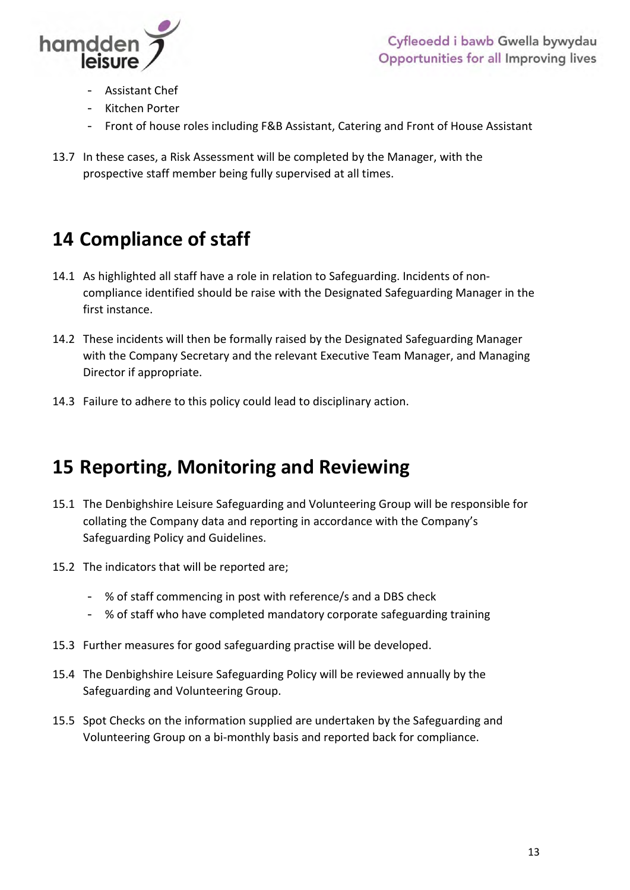

- Assistant Chef
- Kitchen Porter
- Front of house roles including F&B Assistant, Catering and Front of House Assistant
- 13.7 In these cases, a Risk Assessment will be completed by the Manager, with the prospective staff member being fully supervised at all times.

## <span id="page-12-0"></span>**14 Compliance of staff**

- 14.1 As highlighted all staff have a role in relation to Safeguarding. Incidents of noncompliance identified should be raise with the Designated Safeguarding Manager in the first instance.
- 14.2 These incidents will then be formally raised by the Designated Safeguarding Manager with the Company Secretary and the relevant Executive Team Manager, and Managing Director if appropriate.
- 14.3 Failure to adhere to this policy could lead to disciplinary action.

## <span id="page-12-1"></span>**15 Reporting, Monitoring and Reviewing**

- 15.1 The Denbighshire Leisure Safeguarding and Volunteering Group will be responsible for collating the Company data and reporting in accordance with the Company's Safeguarding Policy and Guidelines.
- 15.2 The indicators that will be reported are;
	- % of staff commencing in post with reference/s and a DBS check
	- % of staff who have completed mandatory corporate safeguarding training
- 15.3 Further measures for good safeguarding practise will be developed.
- 15.4 The Denbighshire Leisure Safeguarding Policy will be reviewed annually by the Safeguarding and Volunteering Group.
- 15.5 Spot Checks on the information supplied are undertaken by the Safeguarding and Volunteering Group on a bi-monthly basis and reported back for compliance.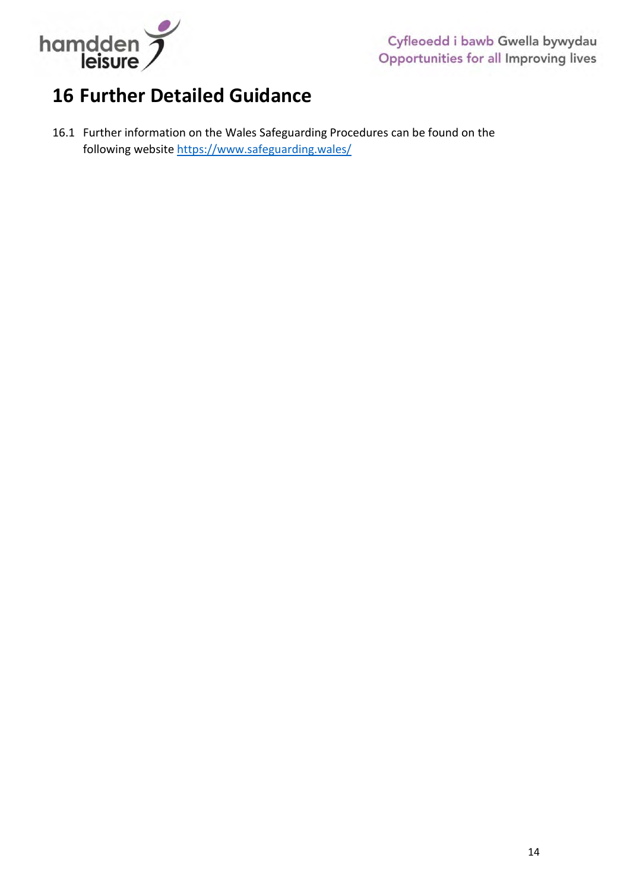

## <span id="page-13-0"></span>**16 Further Detailed Guidance**

<span id="page-13-1"></span>16.1 Further information on the Wales Safeguarding Procedures can be found on the following website<https://www.safeguarding.wales/>